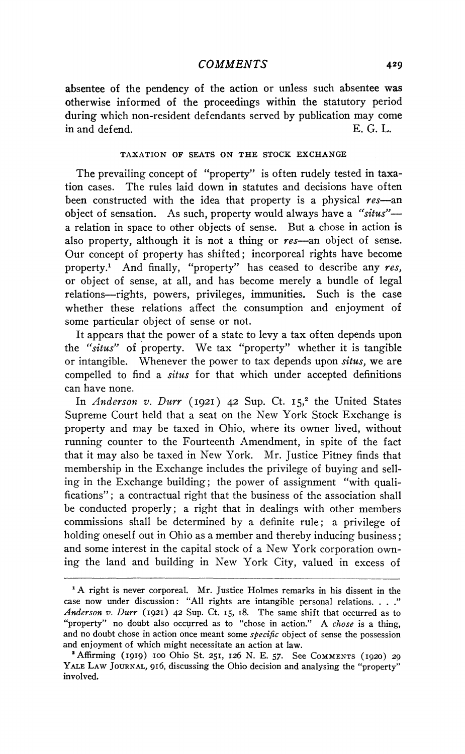## *COMMENTS*

absentee of the pendency of the action or unless such absentee was otherwise informed of the proceedings within the statutory period during which non-resident defendants served by publication may come in and defend. E. G. L.

## TAXATION OF SEATS ON THE STOCK EXCHANGE

The prevailing concept of "property" is often rudely tested in taxation cases. The rules laid down in statutes and decisions have often been constructed with the idea that property is a physical *res-an* been constructed with the idea that property is a physical *res*—an<br>object of sensation. As such, property would always have a *"situs"* a relation in space to other objects of sense. But a chose in action is also property, although it is not a thing or *res-an* object of sense. Our concept of property has shifted; incorporeal rights have become property.1 And finally, "property" has ceased to describe any *res,* or object of sense, at all, and has become merely a bundle of legal relations-rights, powers, privileges, immunities. Such is the case whether these relations affect the consumption and enjoyment of some particular object of sense or not.

It appears that the power of a state to levy a tax often depends upon the *({situs)}* of property. We tax "property" whether it is tangible or intangible. Whenever the power to tax depends upon *situs,* we are compelled to find a *situs* for that which under accepted definitions can have none.

In *Anderson v. Durr* (1921) 42 Sup. Ct. 15,<sup>2</sup> the United States Supreme Court held that a seat on the New York Stock Exchange is property and may be taxed in Ohio, where its owner lived, without running counter to the Fourteenth Amendment, in spite of the fact that it may also be taxed in New York. Mr. Justice Pitney finds that membership in the Exchange includes the privilege of buying and selling in the Exchange building; the power of assignment "with qualifications"; a contractual right that the business of the association shall be conducted properly; a right that in dealings with other members commissions shall be determined by a definite rule; a privilege of holding oneself out in Ohio as a member and thereby inducing business; and some interest in the capital stock of a New York corporation owning the land and building in New York City, valued in excess of

<sup>1</sup> A right is never corporeal. Mr. Justice Holmes remarks in his dissent in the case now under discussion: "All rights are intangible personal relations...." *Anderson v. Durr* (1921) 42 Sup. Ct. 15, 18. The same shift that occurred as to "property" no doubt also occurred as to "chose in action." A *chose* is a thing, and no doubt chose in action once meant some *specific* object of sense the possession and enjoyment of which might necessitate an action at law.

<sup>&</sup>lt;sup>2</sup> Affirming (1919) 100 Ohio St. 251, 126 N. E. 57. See COMMENTS (1920) 29 YALE LAW JOURNAL, 916, discussing the Ohio decision and analysing the "property" involved.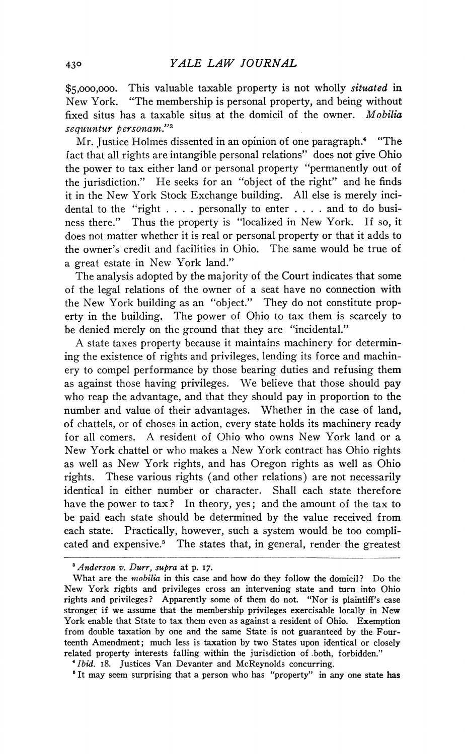\$5,000,000. This valuable taxable property is not wholly *situated* in New York. "The membership is personal property, and being without fixed situs has a taxable situs at the domicil of the owner. *Mobilia* sequuntur *personam*."<sup>3</sup>

Mr. Justice Holmes dissented in an opinion of one paragraph.<sup>4</sup> "The fact that all rights are intangible personal relations" does not give Ohio the power to tax either land or personal property "permanently out of the jurisdiction." He seeks for an "object of the right" and he finds it in the New York Stock Exchange building. All else is merely incidental to the "right . . . . personally to enter . . . . and to do business there." Thus the property is "localized in New York. If so, it does not matter whether it is real or personal property or that it adds to the owner's credit and facilities in Ohio. The same would be true of a great estate in New York land."

The analysis adopted by the majority of the Court indicates that some of the legal relations of the owner of a seat have no connection with the New York building as an "object." They do not constitute property in the building. The power of Ohio to tax them is scarcely to be denied merely on the ground that they are "incidental."

A state taxes property because it maintains machinery for determining the existence of rights and privileges, lending its force and machinery to compel performance by those bearing duties and refusing them as against those having privileges. We believe that those should pay who reap the advantage, and that they should pay in proportion to the number and value of their advantages. Whether in the case of land, of chattels, or of choses in action, every state holds its machinery ready for all comers. A resident of Ohio who owns New York land or a New York chattel or who makes a New York contract has Ohio rights as well as New York rights, and has Oregon rights as well as Ohio rights. These various rights (and other relations) are not necessarily identical in either number or character. Shall each state therefore have the power to tax? In theory, yes; and the amount of the tax to be paid each state should be determined by the value received from each state. Practically, however, such a system would be too complicated and expensive.<sup>5</sup> The states that, in general, render the greatest

<sup>4</sup> *Ibid.* 18. Justices Van Devanter and McReynolds concurring.

<sup>5</sup> It may seem surprising that a person who has "property" in any one state has

<sup>3</sup> *Anderson v. Durr, supra* at p. 17.

What are the *mobilia* in this case and how do they follow the domicil? Do the New York rights and privileges cross an intervening state and turn into Ohio rights and privileges? Apparently some of them do not. "Nor is plaintiff's case stronger if we assume that the membership privileges exercisable locally in New York enable that State to tax them even as against a resident of Ohio. Exemption from double taxation by one and the same State is not guaranteed by the Fourteenth Amendment; much less is taxation by two States upon identical or closely related property interests falling within the jurisdiction of .both, forbidden."